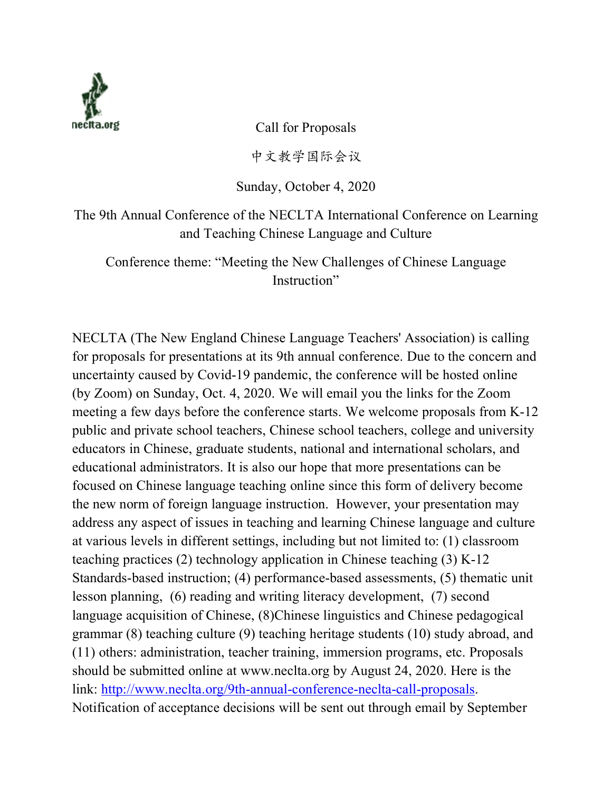

Call for Proposals

中文教学国际会议

Sunday, October 4, 2020

The 9th Annual Conference of the NECLTA International Conference on Learning and Teaching Chinese Language and Culture

Conference theme: "Meeting the New Challenges of Chinese Language Instruction"

NECLTA (The New England Chinese Language Teachers' Association) is calling for proposals for presentations at its 9th annual conference. Due to the concern and uncertainty caused by Covid-19 pandemic, the conference will be hosted online (by Zoom) on Sunday, Oct. 4, 2020. We will email you the links for the Zoom meeting a few days before the conference starts. We welcome proposals from K-12 public and private school teachers, Chinese school teachers, college and university educators in Chinese, graduate students, national and international scholars, and educational administrators. It is also our hope that more presentations can be focused on Chinese language teaching online since this form of delivery become the new norm of foreign language instruction. However, your presentation may address any aspect of issues in teaching and learning Chinese language and culture at various levels in different settings, including but not limited to: (1) classroom teaching practices (2) technology application in Chinese teaching (3) K-12 Standards-based instruction; (4) performance-based assessments, (5) thematic unit lesson planning, (6) reading and writing literacy development, (7) second language acquisition of Chinese, (8)Chinese linguistics and Chinese pedagogical grammar (8) teaching culture (9) teaching heritage students (10) study abroad, and (11) others: administration, teacher training, immersion programs, etc. Proposals should be submitted online at www.neclta.org by August 24, 2020. Here is the link: http://www.neclta.org/9th-annual-conference-neclta-call-proposals. Notification of acceptance decisions will be sent out through email by September